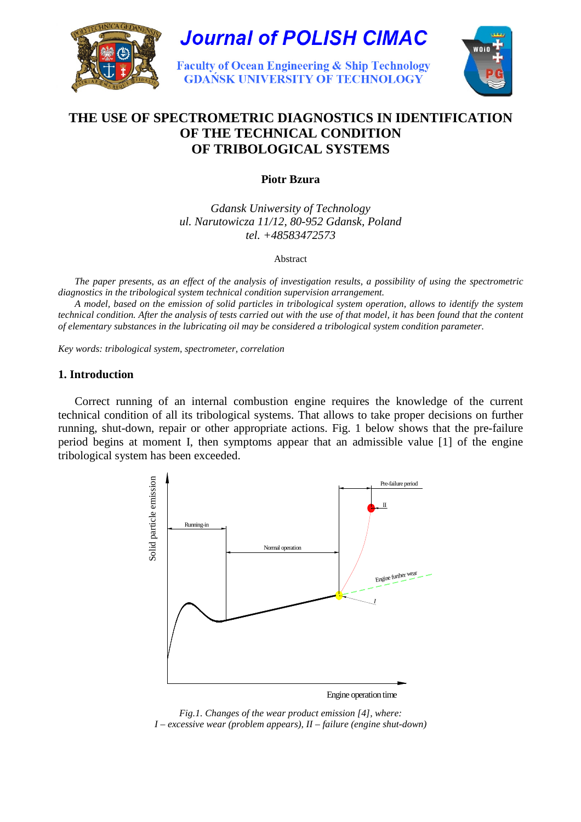



**Faculty of Ocean Engineering & Ship Technology GDAŃSK UNIVERSITY OF TECHNOLOGY** 



# **THE USE OF SPECTROMETRIC DIAGNOSTICS IN IDENTIFICATION OF THE TECHNICAL CONDITION OF TRIBOLOGICAL SYSTEMS**

**Piotr Bzura** 

*Gdansk Uniwersity of Technology ul. Narutowicza 11/12, 80-952 Gdansk, Poland tel. +48583472573* 

Abstract

 *The paper presents, as an effect of the analysis of investigation results, a possibility of using the spectrometric diagnostics in the tribological system technical condition supervision arrangement.* 

 *A model, based on the emission of solid particles in tribological system operation, allows to identify the system technical condition. After the analysis of tests carried out with the use of that model, it has been found that the content of elementary substances in the lubricating oil may be considered a tribological system condition parameter.* 

*Key words: tribological system, spectrometer, correlation* 

# **1. Introduction**

 Correct running of an internal combustion engine requires the knowledge of the current technical condition of all its tribological systems. That allows to take proper decisions on further running, shut-down, repair or other appropriate actions. Fig. 1 below shows that the pre-failure period begins at moment I, then symptoms appear that an admissible value [1] of the engine tribological system has been exceeded.



*Fig.1. Changes of the wear product emission [4], where: I – excessive wear (problem appears), II – failure (engine shut-down)*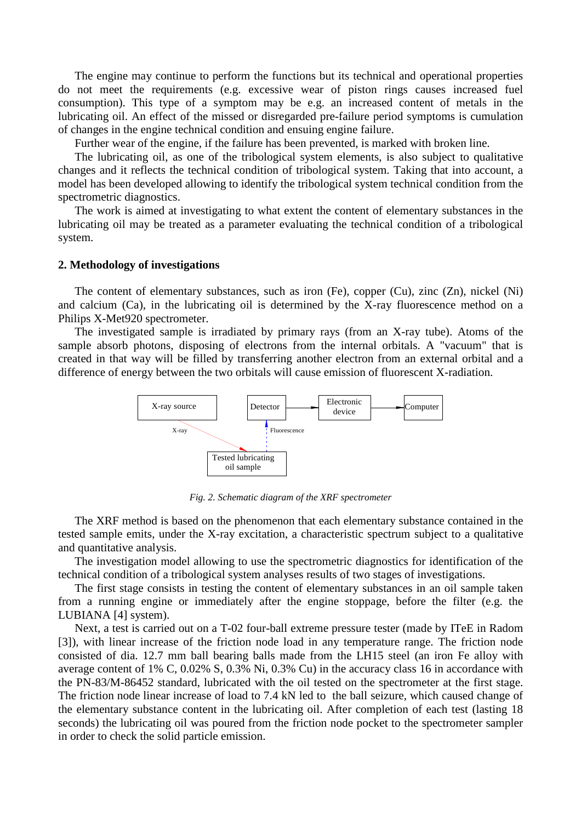The engine may continue to perform the functions but its technical and operational properties do not meet the requirements (e.g. excessive wear of piston rings causes increased fuel consumption). This type of a symptom may be e.g. an increased content of metals in the lubricating oil. An effect of the missed or disregarded pre-failure period symptoms is cumulation of changes in the engine technical condition and ensuing engine failure.

Further wear of the engine, if the failure has been prevented, is marked with broken line.

 The lubricating oil, as one of the tribological system elements, is also subject to qualitative changes and it reflects the technical condition of tribological system. Taking that into account, a model has been developed allowing to identify the tribological system technical condition from the spectrometric diagnostics.

 The work is aimed at investigating to what extent the content of elementary substances in the lubricating oil may be treated as a parameter evaluating the technical condition of a tribological system.

#### **2. Methodology of investigations**

 The content of elementary substances, such as iron (Fe), copper (Cu), zinc (Zn), nickel (Ni) and calcium (Ca), in the lubricating oil is determined by the X-ray fluorescence method on a Philips X-Met920 spectrometer.

 The investigated sample is irradiated by primary rays (from an X-ray tube). Atoms of the sample absorb photons, disposing of electrons from the internal orbitals. A "vacuum" that is created in that way will be filled by transferring another electron from an external orbital and a difference of energy between the two orbitals will cause emission of fluorescent X-radiation.



*Fig. 2. Schematic diagram of the XRF spectrometer* 

 The XRF method is based on the phenomenon that each elementary substance contained in the tested sample emits, under the X-ray excitation, a characteristic spectrum subject to a qualitative and quantitative analysis.

 The investigation model allowing to use the spectrometric diagnostics for identification of the technical condition of a tribological system analyses results of two stages of investigations.

 The first stage consists in testing the content of elementary substances in an oil sample taken from a running engine or immediately after the engine stoppage, before the filter (e.g. the LUBIANA [4] system).

 Next, a test is carried out on a T-02 four-ball extreme pressure tester (made by ITeE in Radom [3]), with linear increase of the friction node load in any temperature range. The friction node consisted of dia. 12.7 mm ball bearing balls made from the LH15 steel (an iron Fe alloy with average content of 1% C, 0.02% S, 0.3% Ni, 0.3% Cu) in the accuracy class 16 in accordance with the PN-83/M-86452 standard, lubricated with the oil tested on the spectrometer at the first stage. The friction node linear increase of load to 7.4 kN led to the ball seizure, which caused change of the elementary substance content in the lubricating oil. After completion of each test (lasting 18 seconds) the lubricating oil was poured from the friction node pocket to the spectrometer sampler in order to check the solid particle emission.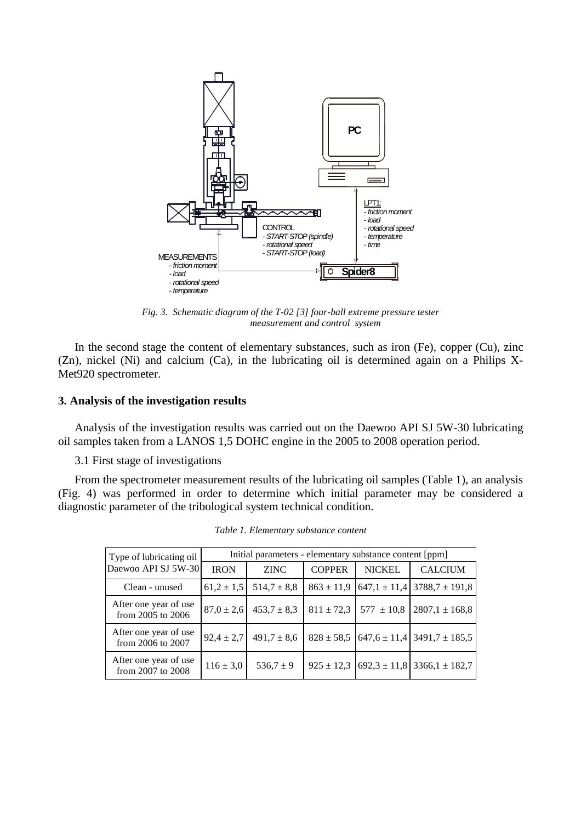

*Fig. 3. Schematic diagram of the T-02 [3] four-ball extreme pressure tester measurement and control system* 

In the second stage the content of elementary substances, such as iron (Fe), copper (Cu), zinc (Zn), nickel (Ni) and calcium (Ca), in the lubricating oil is determined again on a Philips X-Met920 spectrometer.

#### **3. Analysis of the investigation results**

 Analysis of the investigation results was carried out on the Daewoo API SJ 5W-30 lubricating oil samples taken from a LANOS 1,5 DOHC engine in the 2005 to 2008 operation period.

3.1 First stage of investigations

 From the spectrometer measurement results of the lubricating oil samples (Table 1), an analysis (Fig. 4) was performed in order to determine which initial parameter may be considered a diagnostic parameter of the tribological system technical condition.

| Type of lubricating oil<br>Daewoo API SJ 5W-30 | Initial parameters - elementary substance content [ppm] |                 |                |                               |                                                    |  |
|------------------------------------------------|---------------------------------------------------------|-----------------|----------------|-------------------------------|----------------------------------------------------|--|
|                                                | <b>IRON</b>                                             | <b>ZINC</b>     | <b>COPPER</b>  | <b>NICKEL</b>                 | <b>CALCIUM</b>                                     |  |
| Clean - unused                                 | $61,2 \pm 1,5$                                          | $514,7 \pm 8,8$ | $863 \pm 11,9$ |                               | $647,1 \pm 11,4$ 3788,7 $\pm$ 191,8                |  |
| After one year of use<br>from $2005$ to $2006$ | $87,0 \pm 2,6$                                          | $453,7 \pm 8,3$ |                | $811 \pm 72.3$ 577 $\pm 10.8$ | $2807,1 \pm 168,8$                                 |  |
| After one year of use<br>from 2006 to 2007     | $92,4 \pm 2,7$                                          | $491,7 \pm 8,6$ |                |                               | $828 \pm 58,5$ 647,6 $\pm$ 11,4 3491,7 $\pm$ 185,5 |  |
| After one year of use<br>from 2007 to 2008     | $116 \pm 3.0$                                           | $536.7 \pm 9$   |                |                               | $925 \pm 12.3$ $692.3 \pm 11.8$ 3366.1 $\pm 182.7$ |  |

*Table 1. Elementary substance content*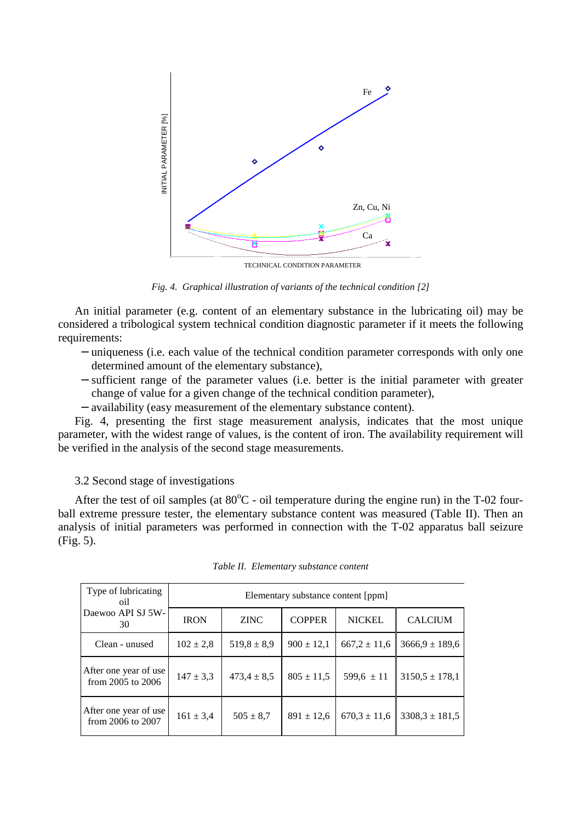

TECHNICAL CONDITION PARAMETER

*Fig. 4. Graphical illustration of variants of the technical condition [2]* 

 An initial parameter (e.g. content of an elementary substance in the lubricating oil) may be considered a tribological system technical condition diagnostic parameter if it meets the following requirements:

- − uniqueness (i.e. each value of the technical condition parameter corresponds with only one determined amount of the elementary substance),
- − sufficient range of the parameter values (i.e. better is the initial parameter with greater change of value for a given change of the technical condition parameter),
- − availability (easy measurement of the elementary substance content).

 Fig. 4, presenting the first stage measurement analysis, indicates that the most unique parameter, with the widest range of values, is the content of iron. The availability requirement will be verified in the analysis of the second stage measurements.

#### 3.2 Second stage of investigations

After the test of oil samples (at  $80^{\circ}$ C - oil temperature during the engine run) in the T-02 fourball extreme pressure tester, the elementary substance content was measured (Table II). Then an analysis of initial parameters was performed in connection with the T-02 apparatus ball seizure (Fig. 5).

| Type of lubricating<br>oil                     | Elementary substance content [ppm] |                 |                |                  |                    |  |
|------------------------------------------------|------------------------------------|-----------------|----------------|------------------|--------------------|--|
| Daewoo API SJ 5W-<br>30                        | <b>IRON</b>                        | <b>ZINC</b>     | <b>COPPER</b>  | <b>NICKEL</b>    | <b>CALCIUM</b>     |  |
| Clean - unused                                 | $102 \pm 2.8$                      | $519,8 \pm 8,9$ | $900 \pm 12,1$ | $667,2 \pm 11,6$ | $3666.9 \pm 189.6$ |  |
| After one year of use<br>from $2005$ to $2006$ | $147 \pm 3.3$                      | $473.4 \pm 8.5$ | $805 \pm 11.5$ | $599,6 \pm 11$   | $3150,5 \pm 178,1$ |  |
| After one year of use<br>from 2006 to 2007     | $161 \pm 3.4$                      | $505 \pm 8.7$   | $891 \pm 12,6$ | $670.3 \pm 11.6$ | $3308.3 \pm 181.5$ |  |

*Table II. Elementary substance content*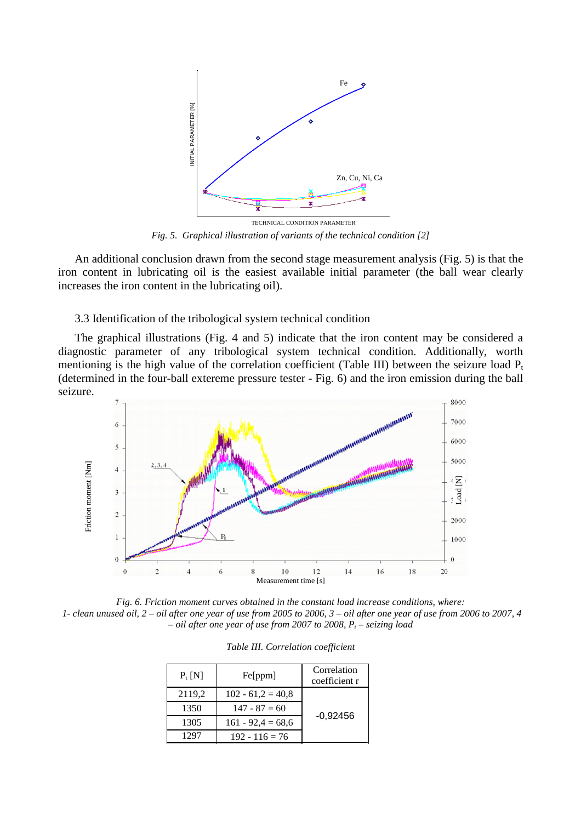

*Fig. 5. Graphical illustration of variants of the technical condition [2]* 

 An additional conclusion drawn from the second stage measurement analysis (Fig. 5) is that the iron content in lubricating oil is the easiest available initial parameter (the ball wear clearly increases the iron content in the lubricating oil).

# 3.3 Identification of the tribological system technical condition

 The graphical illustrations (Fig. 4 and 5) indicate that the iron content may be considered a diagnostic parameter of any tribological system technical condition. Additionally, worth mentioning is the high value of the correlation coefficient (Table III) between the seizure load  $P_t$ (determined in the four-ball extereme pressure tester - Fig. 6) and the iron emission during the ball seizure.



*Fig. 6. Friction moment curves obtained in the constant load increase conditions, where: 1- clean unused oil, 2 – oil after one year of use from 2005 to 2006, 3 – oil after one year of use from 2006 to 2007, 4 – oil after one year of use from 2007 to 2008, P<sup>t</sup> – seizing load* 

| $P_t$ [N] | Fe[ppm]             | Correlation<br>coefficient r |  |
|-----------|---------------------|------------------------------|--|
| 2119,2    | $102 - 61.2 = 40.8$ |                              |  |
| 1350      | $147 - 87 = 60$     |                              |  |
| 1305      | $161 - 92,4 = 68,6$ | $-0,92456$                   |  |
| 1297      | $192 - 116 = 76$    |                              |  |